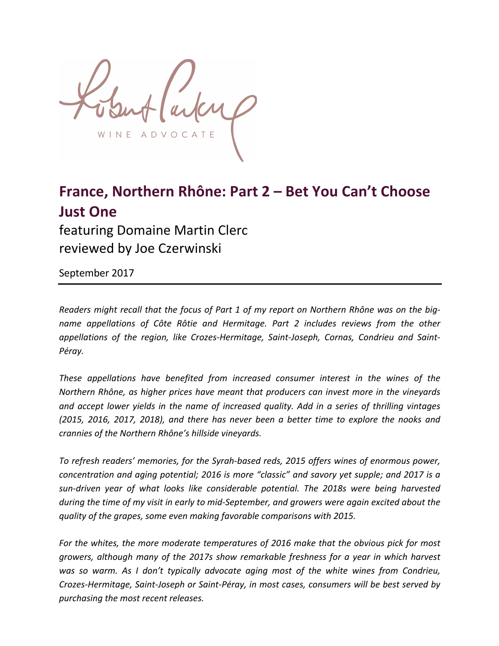ADVOCA N E

# **France, Northern Rhône: Part 2 – Bet You Can't Choose Just One** featuring Domaine Martin Clerc

reviewed by Joe Czerwinski

September 2017

*Readers might recall that the focus of Part 1 of my report on Northern Rhône was on the bigname appellations of Côte Rôtie and Hermitage. Part 2 includes reviews from the other* appellations of the region, like Crozes-Hermitage, Saint-Joseph, Cornas, Condrieu and Saint-*Péray.*

**These** appellations have benefited from increased consumer interest in the wines of the *Northern Rhône, as higher prices have meant that producers can invest more in the vineyards* and accept lower yields in the name of increased quality. Add in a series of thrilling vintages *(2015, 2016, 2017, 2018),* and there has never been a better time to explore the nooks and *crannies of the Northern Rhône's hillside vineyards.*

To refresh readers' memories, for the Syrah-based reds, 2015 offers wines of enormous power, *concentration and aging potential; 2016 is more "classic" and savory yet supple; and 2017 is a* sun-driven year of what looks like considerable potential. The 2018s were being harvested *during* the time of my visit in early to mid-September, and growers were again excited about the *quality of the grapes, some even making favorable comparisons with 2015.*

For the whites, the more moderate temperatures of 2016 make that the obvious pick for most *growers, although many of the 2017s show remarkable freshness for a year in which harvest* was so warm. As I don't typically advocate aging most of the white wines from Condrieu, *Crozes-Hermitage, Saint-Joseph or Saint-Péray, in most cases, consumers will be best served by purchasing the most recent releases.*